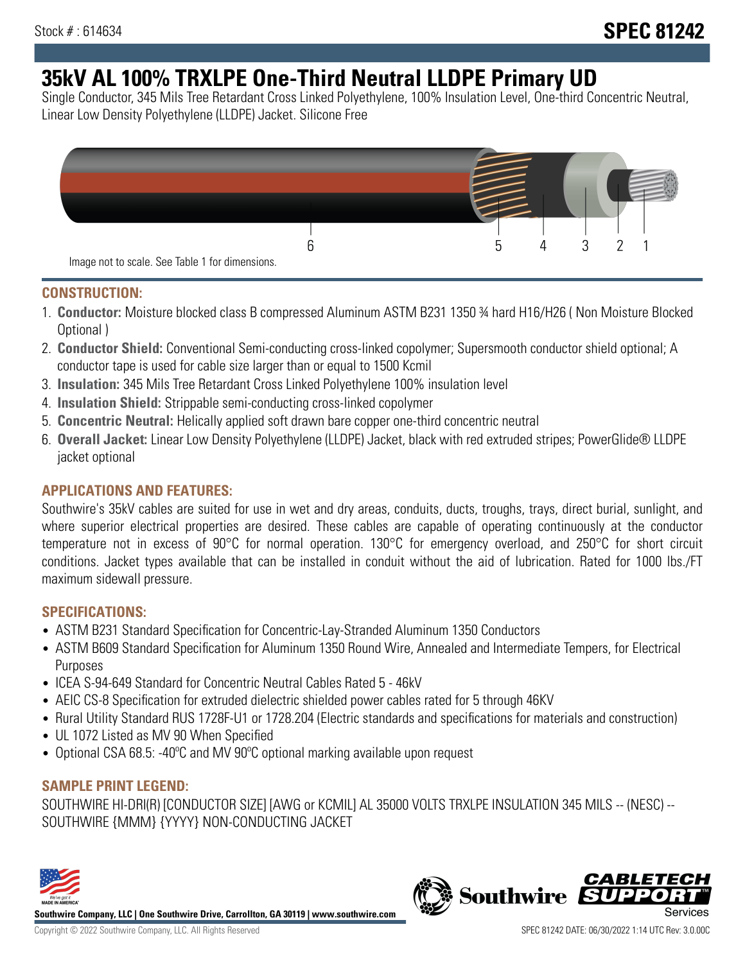# **35kV AL 100% TRXLPE One-Third Neutral LLDPE Primary UD**

Single Conductor, 345 Mils Tree Retardant Cross Linked Polyethylene, 100% Insulation Level, One-third Concentric Neutral, Linear Low Density Polyethylene (LLDPE) Jacket. Silicone Free



### **CONSTRUCTION:**

- 1. **Conductor:** Moisture blocked class B compressed Aluminum ASTM B231 1350 ¾ hard H16/H26 ( Non Moisture Blocked Optional )
- 2. **Conductor Shield:** Conventional Semi-conducting cross-linked copolymer; Supersmooth conductor shield optional; A conductor tape is used for cable size larger than or equal to 1500 Kcmil
- 3. **Insulation:** 345 Mils Tree Retardant Cross Linked Polyethylene 100% insulation level
- 4. **Insulation Shield:** Strippable semi-conducting cross-linked copolymer
- 5. **Concentric Neutral:** Helically applied soft drawn bare copper one-third concentric neutral
- 6. **Overall Jacket:** Linear Low Density Polyethylene (LLDPE) Jacket, black with red extruded stripes; PowerGlide® LLDPE jacket optional

## **APPLICATIONS AND FEATURES:**

Southwire's 35kV cables are suited for use in wet and dry areas, conduits, ducts, troughs, trays, direct burial, sunlight, and where superior electrical properties are desired. These cables are capable of operating continuously at the conductor temperature not in excess of 90°C for normal operation. 130°C for emergency overload, and 250°C for short circuit conditions. Jacket types available that can be installed in conduit without the aid of lubrication. Rated for 1000 lbs./FT maximum sidewall pressure.

## **SPECIFICATIONS:**

- ASTM B231 Standard Specification for Concentric-Lay-Stranded Aluminum 1350 Conductors
- ASTM B609 Standard Specification for Aluminum 1350 Round Wire, Annealed and Intermediate Tempers, for Electrical Purposes
- ICEA S-94-649 Standard for Concentric Neutral Cables Rated 5 46kV
- AEIC CS-8 Specification for extruded dielectric shielded power cables rated for 5 through 46KV
- Rural Utility Standard RUS 1728F-U1 or 1728.204 (Electric standards and specifications for materials and construction)
- UL 1072 Listed as MV 90 When Specified
- Optional CSA 68.5: -40ºC and MV 90ºC optional marking available upon request

## **SAMPLE PRINT LEGEND:**

SOUTHWIRE HI-DRI(R) [CONDUCTOR SIZE] [AWG or KCMIL] AL 35000 VOLTS TRXLPE INSULATION 345 MILS -- (NESC) -- SOUTHWIRE {MMM} {YYYY} NON-CONDUCTING JACKET



**Southwire Company, LLC | One Southwire Drive, Carrollton, GA 30119 | www.southwire.com**

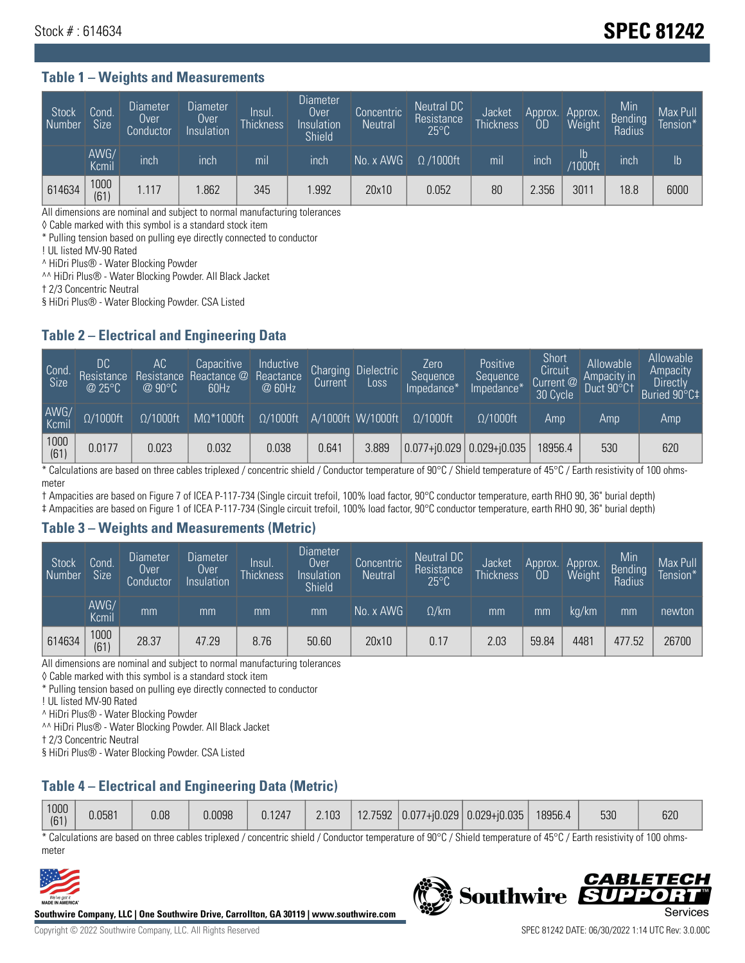## Stock # : 614634 **SPEC 81242**

#### **Table 1 – Weights and Measurements**

| Stock<br>Number | Cond<br><b>Size</b> | <b>Diameter</b><br>Over<br>Conductor | <b>Diameter</b><br>Over<br>Insulation | lnsul.<br><b>Thickness</b> | Diameter<br>Over<br>Insulation<br><b>Shield</b> | Concentric<br><b>Neutral</b> | Neutral DC<br>Resistance<br>$25^{\circ}$ C | Jacket<br><b>Thickness</b> | Approx.<br>OD | Approx.<br>Weight | Min<br><b>Bending</b><br>Radius | Max Pull<br>Tension* |
|-----------------|---------------------|--------------------------------------|---------------------------------------|----------------------------|-------------------------------------------------|------------------------------|--------------------------------------------|----------------------------|---------------|-------------------|---------------------------------|----------------------|
|                 | AWG/<br>Kcmil       | inch                                 | inch                                  | mil                        | inch                                            | No. x AWG                    | $\Omega$ /1000ft                           | mil                        | inch          | Ib<br>/1000ft     | inch                            | $\mathsf{lb}$        |
| 614634          | 1000<br>(61)        | .117                                 | .862                                  | 345                        | .992                                            | 20x10                        | 0.052                                      | 80                         | 2.356         | 3011              | 18.8                            | 6000                 |

All dimensions are nominal and subject to normal manufacturing tolerances

◊ Cable marked with this symbol is a standard stock item

\* Pulling tension based on pulling eye directly connected to conductor

! UL listed MV-90 Rated

^ HiDri Plus® - Water Blocking Powder

^^ HiDri Plus® - Water Blocking Powder. All Black Jacket

† 2/3 Concentric Neutral

§ HiDri Plus® - Water Blocking Powder. CSA Listed

#### **Table 2 – Electrical and Engineering Data**

| Cond.<br>Size | DC<br>Resistance<br>@25°C | 'AC<br>Resistance<br>$\oslash$ 90°C | Capacitive<br>Reactance @<br>60Hz | Inductive<br>Reactance<br>@ 60Hz | Charging<br>Current | <b>Dielectric</b><br>Loss | Zero<br>Sequence<br>Impedance* | Positive<br>Sequence<br>Impedance* | Short<br>Circuit<br>Current @<br>30 Cycle | Allowable<br>Ampacity in<br>Duct 90°C1 | Allowable<br>Ampacity<br><b>Directly</b><br>Buried 90°C‡ |
|---------------|---------------------------|-------------------------------------|-----------------------------------|----------------------------------|---------------------|---------------------------|--------------------------------|------------------------------------|-------------------------------------------|----------------------------------------|----------------------------------------------------------|
| AWG/<br>Kcmil | $\Omega/1000$ ft          | $\Omega/1000$ ft                    | $M\Omega^*1000$ ft                | $\Omega/1000$ ft                 |                     | A/1000ft W/1000ft         | $Q/1000$ ft                    | $\Omega$ /1000ft                   | Amp                                       | Amp                                    | Amp                                                      |
| 1000<br>(61)  | 0.0177                    | 0.023                               | 0.032                             | 0.038                            | 0.641               | 3.889                     |                                | $ 0.077+0.029 0.029+0.035 $        | 8956.4                                    | 530                                    | 620                                                      |

\* Calculations are based on three cables triplexed / concentric shield / Conductor temperature of 90°C / Shield temperature of 45°C / Earth resistivity of 100 ohmsmeter

† Ampacities are based on Figure 7 of ICEA P-117-734 (Single circuit trefoil, 100% load factor, 90°C conductor temperature, earth RHO 90, 36" burial depth)

‡ Ampacities are based on Figure 1 of ICEA P-117-734 (Single circuit trefoil, 100% load factor, 90°C conductor temperature, earth RHO 90, 36" burial depth)

#### **Table 3 – Weights and Measurements (Metric)**

| Stock<br>Number | Cond.<br>Size <sup>'</sup> | <b>Diameter</b><br><b>Over</b><br>Conductor | Diameter<br>Over<br>Insulation | Insul.<br><b>Thickness</b> | <b>Diameter</b><br>Over<br>Insulation<br><b>Shield</b> | Concentric<br>Neutral | Neutral DC<br>Resistance<br>$25^{\circ}$ C | Jacket<br><b>Thickness</b> | Approx.<br>0D | Approx.<br>Weight | Min<br>Bending<br>Radius | Max Pull<br>Tension* |
|-----------------|----------------------------|---------------------------------------------|--------------------------------|----------------------------|--------------------------------------------------------|-----------------------|--------------------------------------------|----------------------------|---------------|-------------------|--------------------------|----------------------|
|                 | AWG/<br>Kcmil              | mm                                          | mm                             | mm                         | mm                                                     | No. x AWG             | $\Omega$ /km                               | mm                         | mm            | ka/km             | mm                       | newton               |
| 614634          | 1000<br>(61)               | 28.37                                       | 47.29                          | 8.76                       | 50.60                                                  | 20x10                 | 0.17                                       | 2.03                       | 59.84         | 4481              | 477.52                   | 26700                |

All dimensions are nominal and subject to normal manufacturing tolerances

◊ Cable marked with this symbol is a standard stock item

\* Pulling tension based on pulling eye directly connected to conductor

! UL listed MV-90 Rated

^ HiDri Plus® - Water Blocking Powder

^^ HiDri Plus® - Water Blocking Powder. All Black Jacket

† 2/3 Concentric Neutral

§ HiDri Plus® - Water Blocking Powder. CSA Listed

## **Table 4 – Electrical and Engineering Data (Metric)**

\* Calculations are based on three cables triplexed / concentric shield / Conductor temperature of 90°C / Shield temperature of 45°C / Earth resistivity of 100 ohmsmeter



**Southwire Company, LLC | One Southwire Drive, Carrollton, GA 30119 | www.southwire.com**